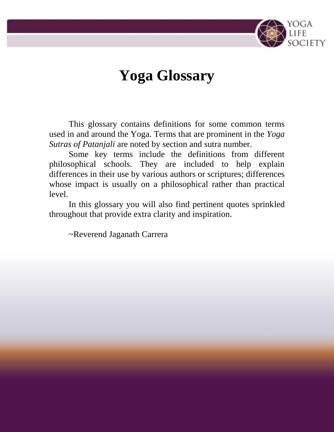

# **Yoga Glossary**

This glossary contains definitions for some common terms used in and around the Yoga. Terms that are prominent in the *Yoga Sutras of Patanjali* are noted by section and sutra number.

Some key terms include the definitions from different philosophical schools. They are included to help explain differences in their use by various authors or scriptures; differences whose impact is usually on a philosophical rather than practical level.

In this glossary you will also find pertinent quotes sprinkled throughout that provide extra clarity and inspiration.

~Reverend Jaganath Carrera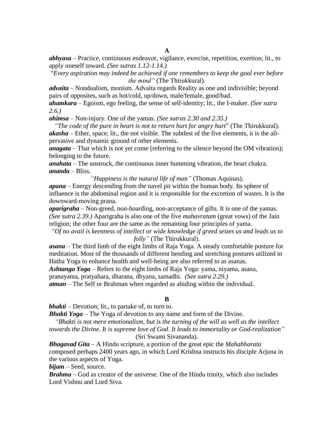*abhyasa* – Practice, continuous endeavor, vigilance, exercise, repetition, exertion; lit., to apply oneself toward. *(See sutras 1.12-1.14.)*

"*Every aspiration may indeed be achieved if one remembers to keep the goal ever before the mind"* (The Thirukkural).

*advaita* – Nondualism, monism. Advaita regards Reality as one and indivisible; beyond pairs of opposites, such as hot/cold, up/down, male/female, good/bad.

*ahamkara* – Egoism, ego feeling, the sense of self-identity; lit., the I-maker. *(See sutra 2.6.)*

*ahimsa* – Non-injury. One of the yamas. *(See sutras 2.30 and 2.35.)*

*"The code of the pure in heart is not to return hurt for angry hurt*" (The Thirukkural). *akasha* – Ether, space; lit., the not visible. The subtlest of the five elements, it is the allpervasive and dynamic ground of other elements.

*anagata* – That which is not yet come (referring to the silence beyond the OM vibration); belonging to the future.

*anahata* – The unstruck, the continuous inner humming vibration, the heart chakra. *ananda* – Bliss.

*"Happiness is the natural life of man"* (Thomas Aquinas).

*apana* – Energy descending from the navel pit within the human body. Its sphere of influence is the abdominal region and it is responsible for the excretion of wastes. It is the downward-moving prana.

*aparigraha* – Non-greed, non-hoarding, non-acceptance of gifts. It is one of the yamas. *(See sutra 2.39.)* Aparigraha is also one of the five *mahavratam* (great vows) of the Jain religion; the other four are the same as the remaining four principles of yama.

*"Of no avail is keenness of intellect or wide knowledge if greed seizes us and leads us to folly"* (The Thirukkural).

*asana* – The third limb of the eight limbs of Raja Yoga. A steady comfortable posture for meditation. Most of the thousands of different bending and stretching postures utilized in Hatha Yoga to enhance health and well-being are also referred to as asanas.

*Ashtanga Yoga* – Refers to the eight limbs of Raja Yoga: yama, niyama, asana,

pranayama, pratyahara, dharana, dhyana, samadhi. *(See sutra 2.29.)*

*atman* – The Self or Brahman when regarded as abiding within the individual.

#### **B**

*bhakti* – Devotion; lit., to partake of, to turn to.

*Bhakti Yoga* – The Yoga of devotion to any name and form of the Divine.

*"Bhakti is not mere emotionalism, but is the turning of the will as well as the intellect towards the Divine. It is supreme love of God. It leads to immortality or God-realization"* 

(Sri Swami Sivananda).

*Bhagavad Gita* – A Hindu scripture, a portion of the great epic the *Mahabharata* composed perhaps 2400 years ago, in which Lord Krishna instructs his disciple Arjuna in the various aspects of Yoga.

*bijam* – Seed, source.

*Brahma* – God as creator of the universe. One of the Hindu trinity, which also includes Lord Vishnu and Lord Siva.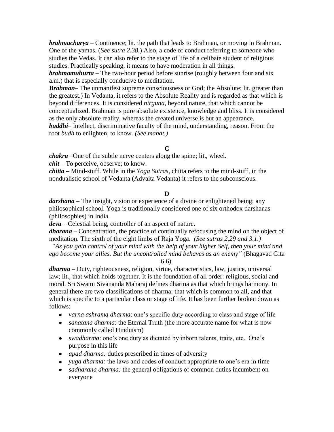*brahmacharya* – Continence; lit. the path that leads to Brahman, or moving in Brahman. One of the yamas. (S*ee sutra 2.38.*) Also, a code of conduct referring to someone who studies the Vedas. It can also refer to the stage of life of a celibate student of religious studies. Practically speaking, it means to have moderation in all things.

*brahmamuhurta* – The two-hour period before sunrise (roughly between four and six a.m.) that is especially conducive to meditation.

*Brahman*– The unmanifest supreme consciousness or God; the Absolute; lit. greater than the greatest.) In Vedanta, it refers to the Absolute Reality and is regarded as that which is beyond differences. It is considered *nirguna*, beyond nature, that which cannot be conceptualized. Brahman is pure absolute existence, knowledge and bliss. It is considered as the only absolute reality, whereas the created universe is but an appearance.

*buddhi*– Intellect, discriminative faculty of the mind, understanding, reason. From the root *budh* to enlighten, to know. *(See mahat.)*

# **C**

*chakra* –One of the subtle nerve centers along the spine; lit., wheel.

*chit* – To perceive, observe; to know.

*chitta* – Mind-stuff. While in the *Yoga Sutras*, chitta refers to the mind-stuff, in the nondualistic school of Vedanta (Advaita Vedanta) it refers to the subconscious.

# **D**

*darshana* – The insight, vision or experience of a divine or enlightened being; any philosophical school. Yoga is traditionally considered one of six orthodox darshanas (philosophies) in India.

*deva* – Celestial being, controller of an aspect of nature.

*dharana* – Concentration, the practice of continually refocusing the mind on the object of meditation. The sixth of the eight limbs of Raja Yoga. *(See sutras 2.29 and 3.1.)*

*"As you gain control of your mind with the help of your higher Self, then your mind and ego become your allies. But the uncontrolled mind behaves as an enemy"* (Bhagavad Gita

6.6).

*dharma* – Duty, righteousness, religion, virtue, characteristics, law, justice, universal law; lit., that which holds together. It is the foundation of all order: religious, social and moral. Sri Swami Sivananda Maharaj defines dharma as that which brings harmony. In general there are two classifications of dharma: that which is common to all, and that which is specific to a particular class or stage of life. It has been further broken down as follows:

- *varna ashrama dharma*: one's specific duty according to class and stage of life
- *sanatana dharma*: the Eternal Truth (the more accurate name for what is now commonly called Hinduism)
- *swadharma*: one's one duty as dictated by inborn talents, traits, etc. One's purpose in this life
- *apad dharma:* duties prescribed in times of adversity
- *yuga dharma:* the laws and codes of conduct appropriate to one's era in time
- *sadharana dharma:* the general obligations of common duties incumbent on everyone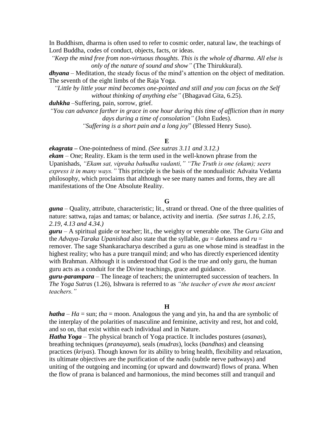In Buddhism, dharma is often used to refer to cosmic order, natural law, the teachings of Lord Buddha, codes of conduct, objects, facts, or ideas.

*"Keep the mind free from non-virtuous thoughts. This is the whole of dharma. All else is only of the nature of sound and show"* (The Thirukkural).

*dhyana* – Meditation, the steady focus of the mind's attention on the object of meditation. The seventh of the eight limbs of the Raja Yoga.

*"Little by little your mind becomes one-pointed and still and you can focus on the Self without thinking of anything else"* (Bhagavad Gita, 6.25).

*duhkha* –Suffering, pain, sorrow, grief.

*"You can advance farther in grace in one hour during this time of affliction than in many days during a time of consolation"* (John Eudes).

*"Suffering is a short pain and a long joy*" (Blessed Henry Suso).

#### **E**

*ekagrata –* One-pointedness of mind. *(See sutras 3.11 and 3.12.) ekam* – One; Reality. Ekam is the term used in the well-known phrase from the Upanishads, *"Ekam sat, vipraha bahudha vadanti," "The Truth is one (ekam); seers express it in many ways."* This principle is the basis of the nondualistic Advaita Vedanta philosophy, which proclaims that although we see many names and forms, they are all manifestations of the One Absolute Reality.

## **G**

*guna* – Quality, attribute, characteristic; lit., strand or thread. One of the three qualities of nature: sattwa, rajas and tamas; or balance, activity and inertia. *(See sutras 1.16, 2.15, 2.19, 4.13 and 4.34.)*

*guru* – A spiritual guide or teacher; lit., the weighty or venerable one. The *Guru Gita* and the *Advaya-Taraka Upanishad* also state that the syllable,  $gu =$  darkness and  $ru =$ remover. The sage Shankaracharya described a guru as one whose mind is steadfast in the highest reality; who has a pure tranquil mind; and who has directly experienced identity with Brahman. Although it is understood that God is the true and only guru, the human guru acts as a conduit for the Divine teachings, grace and guidance.

*guru-parampara* – The lineage of teachers; the uninterrupted succession of teachers. In *The Yoga Sutras* (1.26), Ishwara is referred to as *"the teacher of even the most ancient teachers."* 

## **H**

*hatha* – *Ha* = sun; *tha* = moon. Analogous the yang and yin, ha and tha are symbolic of the interplay of the polarities of masculine and feminine, activity and rest, hot and cold, and so on, that exist within each individual and in Nature.

*Hatha Yoga* – The physical branch of Yoga practice. It includes postures (*asanas*), breathing techniques (*pranayama*), seals (*mudras*), locks (*bandhas*) and cleansing practices (*kriyas*). Though known for its ability to bring health, flexibility and relaxation, its ultimate objectives are the purification of the *nadis* (subtle nerve pathways) and uniting of the outgoing and incoming (or upward and downward) flows of prana. When the flow of prana is balanced and harmonious, the mind becomes still and tranquil and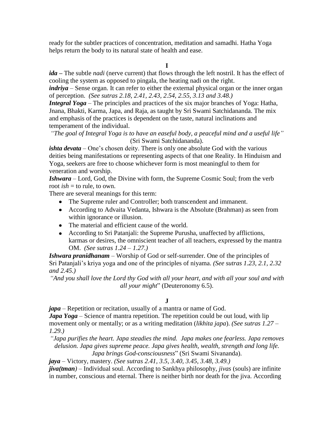ready for the subtler practices of concentration, meditation and samadhi. Hatha Yoga helps return the body to its natural state of health and ease.

**I**

*ida –* The subtle *nadi* (nerve current) that flows through the left nostril. It has the effect of cooling the system as opposed to pingala, the heating nadi on the right.

*indriya* – Sense organ. It can refer to either the external physical organ or the inner organ of perception. *(See sutras 2.18, 2.41, 2.43, 2.54, 2.55, 3.13 and 3.48.)*

*Integral Yoga* – The principles and practices of the six major branches of Yoga: Hatha, Jnana, Bhakti, Karma, Japa, and Raja, as taught by Sri Swami Satchidananda. The mix and emphasis of the practices is dependent on the taste, natural inclinations and temperament of the individual.

*"The goal of Integral Yoga is to have an easeful body, a peaceful mind and a useful life"* (Sri Swami Satchidananda).

*ishta devata* – One's chosen deity. There is only one absolute God with the various deities being manifestations or representing aspects of that one Reality. In Hinduism and Yoga, seekers are free to choose whichever form is most meaningful to them for veneration and worship.

*Ishwara* – Lord, God, the Divine with form, the Supreme Cosmic Soul; from the verb root *ish* = to rule, to own.

There are several meanings for this term:

- The Supreme ruler and Controller; both transcendent and immanent.
- According to Advaita Vedanta, Ishwara is the Absolute (Brahman) as seen from within ignorance or illusion.
- The material and efficient cause of the world.
- According to Sri Patanjali: the Supreme Purusha, unaffected by afflictions, karmas or desires, the omniscient teacher of all teachers, expressed by the mantra OM. *(See sutras 1.24 – 1.27.)*

*Ishwara pranidhanam* – Worship of God or self-surrender. One of the principles of Sri Patanjali's kriya yoga and one of the principles of niyama. *(See sutras 1.23, 2.1, 2.32 and 2.45.)*

*"And you shall love the Lord thy God with all your heart, and with all your soul and with all your might*" (Deuteronomy 6.5).

# **J**

*japa* – Repetition or recitation, usually of a mantra or name of God. *Japa Yoga* – Science of mantra repetition. The repetition could be out loud, with lip movement only or mentally; or as a writing meditation (*likhita japa*). *(See sutras 1.27 – 1.29.)*

*"Japa purifies the heart. Japa steadies the mind. Japa makes one fearless. Japa removes delusion. Japa gives supreme peace. Japa gives health, wealth, strength and long life. Japa brings God-consciousness*" (Sri Swami Sivananda).

*jaya* – Victory, mastery. *(See sutras 2.41, 3.5, 3.40, 3.45, 3.48, 3.49.)*

*jiva(tman)* – Individual soul. According to Sankhya philosophy, *jivas* (souls) are infinite in number, conscious and eternal. There is neither birth nor death for the jiva. According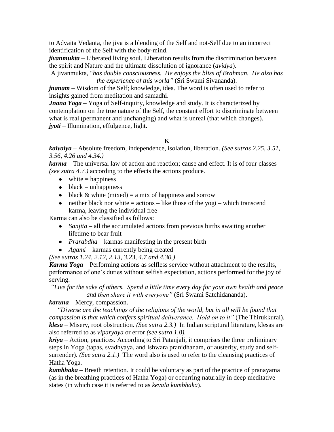to Advaita Vedanta, the jiva is a blending of the Self and not-Self due to an incorrect identification of the Self with the body-mind.

*jivanmukta* – Liberated living soul. Liberation results from the discrimination between the spirit and Nature and the ultimate dissolution of ignorance (*avidya*).

A jivanmukta, "*has double consciousness. He enjoys the bliss of Brahman. He also has the experience of this world"* (Sri Swami Sivananda).

*jnanam* – Wisdom of the Self; knowledge, idea. The word is often used to refer to insights gained from meditation and samadhi.

*Jnana Yoga* – Yoga of Self-inquiry, knowledge and study. It is characterized by contemplation on the true nature of the Self, the constant effort to discriminate between what is real (permanent and unchanging) and what is unreal (that which changes). *jyoti* – Illumination, effulgence, light.

**K**

*kaivalya* – Absolute freedom, independence, isolation, liberation. *(See sutras 2.25, 3.51, 3.56, 4.26 and 4.34.)*

*karma* – The universal law of action and reaction; cause and effect. It is of four classes *(see sutra 4.7.)* according to the effects the actions produce.

- $\bullet$  white = happiness
- $\bullet$  black = unhappiness
- black  $&$  white (mixed) = a mix of happiness and sorrow
- neither black nor white  $=$  actions  $-$  like those of the yogi which transcend karma, leaving the individual free

Karma can also be classified as follows:

- *Sanjita* all the accumulated actions from previous births awaiting another lifetime to bear fruit
- *Prarabdha* karmas manifesting in the present birth
- *Agami* karmas currently being created
- *(See sutras 1.24, 2.12, 2.13, 3.23, 4.7 and 4.30.)*

*Karma Yoga* – Performing actions as selfless service without attachment to the results, performance of one's duties without selfish expectation, actions performed for the joy of serving.

*"Live for the sake of others. Spend a little time every day for your own health and peace and then share it with everyone"* (Sri Swami Satchidananda).

*karuna* – Mercy, compassion.

*"Diverse are the teachings of the religions of the world, but in all will be found that compassion is that which confers spiritual deliverance. Hold on to it"* (The Thirukkural). *klesa* – Misery, root obstruction. *(See sutra 2.3.)* In Indian scriptural literature, klesas are also referred to as *viparyaya* or error *(see sutra 1.8).*

*kriya* – Action, practices. According to Sri Patanjali, it comprises the three preliminary steps in Yoga (tapas, svadhyaya, and Ishwara pranidhanam, or austerity, study and selfsurrender). *(See sutra 2.1.)* The word also is used to refer to the cleansing practices of Hatha Yoga.

*kumbhaka* – Breath retention. It could be voluntary as part of the practice of pranayama (as in the breathing practices of Hatha Yoga) or occurring naturally in deep meditative states (in which case it is referred to as *kevala kumbhaka*).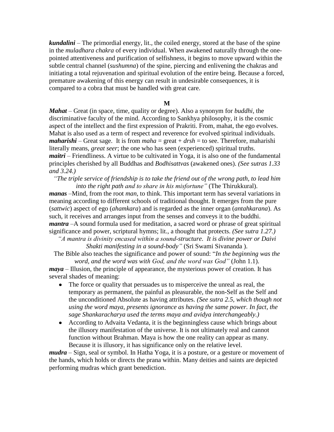*kundalini* – The primordial energy, lit., the coiled energy, stored at the base of the spine in the *muladhara chakra* of every individual. When awakened naturally through the onepointed attentiveness and purification of selfishness, it begins to move upward within the subtle central channel (*sushumna*) of the spine, piercing and enlivening the chakras and initiating a total rejuvenation and spiritual evolution of the entire being. Because a forced, premature awakening of this energy can result in undesirable consequences, it is compared to a cobra that must be handled with great care.

#### **M**

*Mahat* – Great (in space, time, quality or degree). Also a synonym for *buddhi,* the discriminative faculty of the mind. According to Sankhya philosophy, it is the cosmic aspect of the intellect and the first expression of Prakriti. From, mahat, the ego evolves. Mahat is also used as a term of respect and reverence for evolved spiritual individuals. *maharishi* – Great sage. It is from *maha* = great + *drsh* = to see. Therefore, maharishi literally means, *great seer*; the one who has seen (experienced) spiritual truths. *maitri* – Friendliness. A virtue to be cultivated in Yoga, it is also one of the fundamental principles cherished by all Buddhas and *Bodhisattvas* (awakened ones). *(See sutras 1.33 and 3.24.)*

*"The triple service of friendship is to take the friend out of the wrong path, to lead him into the right path and to share in his misfortune"* (The Thirukkural).

*manas* –Mind, from the root *man*, to think. This important term has several variations in meaning according to different schools of traditional thought. It emerges from the pure (*sattwic*) aspect of ego (*ahamkara*) and is regarded as the inner organ (*antahkarana*). As such, it receives and arranges input from the senses and conveys it to the buddhi. *mantra* –A sound formula used for meditation, a sacred word or phrase of great spiritual significance and power, scriptural hymns; lit., a thought that protects. *(See sutra 1.27.)*

*"A mantra is divinity encased within a sound-structure. It is divine power or Daivi Shakti manifesting in a sound-body"* (Sri Swami Sivananda ).

The Bible also teaches the significance and power of sound: "*In the beginning was the word, and the word was with God, and the word was God"* (John 1.1).

*maya* – Illusion, the principle of appearance, the mysterious power of creation. It has several shades of meaning:

- $\bullet$ The force or quality that persuades us to misperceive the unreal as real, the temporary as permanent, the painful as pleasurable, the non-Self as the Self and the unconditioned Absolute as having attributes. *(See sutra 2.5, which though not using the word maya, presents ignorance as having the same power. In fact, the sage Shankaracharya used the terms maya and avidya interchangeably.)*
- According to Advaita Vedanta, it is the beginningless cause which brings about the illusory manifestation of the universe. It is not ultimately real and cannot function without Brahman. Maya is how the one reality can appear as many. Because it is illusory, it has significance only on the relative level.

*mudra* – Sign, seal or symbol. In Hatha Yoga, it is a posture, or a gesture or movement of the hands, which holds or directs the prana within. Many deities and saints are depicted performing mudras which grant benediction.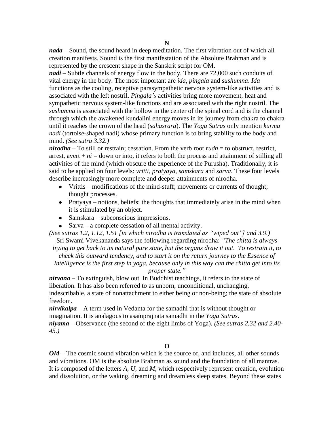*nada* – Sound, the sound heard in deep meditation. The first vibration out of which all creation manifests. Sound is the first manifestation of the Absolute Brahman and is represented by the crescent shape in the Sanskrit script for OM.

**N**

*nadi* – Subtle channels of energy flow in the body. There are 72,000 such conduits of vital energy in the body. The most important are *ida*, *pingala* and *sushumna*. *Ida* functions as the cooling, receptive parasympathetic nervous system-like activities and is associated with the left nostril. *Pingala"s* activities bring more movement, heat and sympathetic nervous system-like functions and are associated with the right nostril. The *sushumna* is associated with the hollow in the center of the spinal cord and is the channel through which the awakened kundalini energy moves in its journey from chakra to chakra until it reaches the crown of the head (*sahasrara*). The *Yoga Sutras* only mention *kurma nadi* (tortoise-shaped nadi) whose primary function is to bring stability to the body and mind. *(See sutra 3.32.)*

*nirodha* – To still or restrain; cessation. From the verb root *rudh* = to obstruct, restrict, arrest, avert  $+ ni =$  down or into, it refers to both the process and attainment of stilling all activities of the mind (which obscure the experience of the Purusha). Traditionally, it is said to be applied on four levels: *vritti*, *pratyaya, samskara* and *sarva*. These four levels describe increasingly more complete and deeper attainments of nirodha.

- Vrittis modifications of the mind-stuff; movements or currents of thought; thought processes.
- Pratyaya notions, beliefs; the thoughts that immediately arise in the mind when it is stimulated by an object.
- Samskara subconscious impressions.
- Sarva a complete cessation of all mental activity.

*(See sutras 1.2, 1.12, 1.51 [in which nirodha is translated as "wiped out"] and 3.9.)*  Sri Swami Vivekananda says the following regarding nirodha: *"The chitta is always* 

*trying to get back to its natural pure state, but the organs draw it out. To restrain it, to check this outward tendency, and to start it on the return journey to the Essence of Intelligence is the first step in yoga, because only in this way can the chitta get into its* 

*proper state."*

*nirvana* – To extinguish, blow out. In Buddhist teachings, it refers to the state of liberation. It has also been referred to as unborn, unconditional, unchanging, indescribable, a state of nonattachment to either being or non-being; the state of absolute freedom.

*nirvikalpa* – A term used in Vedanta for the samadhi that is without thought or imagination. It is analagous to asamprajnata samadhi in the *Yoga Sutras*.

*niyama* – Observance (the second of the eight limbs of Yoga). *(See sutras 2.32 and 2.40- 45.)*

**O**

*OM* – The cosmic sound vibration which is the source of, and includes, all other sounds and vibrations. OM is the absolute Brahman as sound and the foundation of all mantras. It is composed of the letters *A, U*, and *M*, which respectively represent creation, evolution and dissolution, or the waking, dreaming and dreamless sleep states. Beyond these states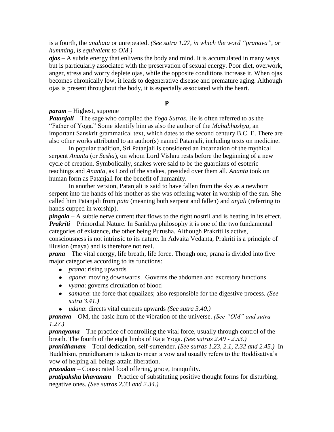is a fourth, the *anahata* or unrepeated. *(See sutra 1.27, in which the word "pranava", or humming, is equivalent to OM.)*

*ojas* – A subtle energy that enlivens the body and mind. It is accumulated in many ways but is particularly associated with the preservation of sexual energy. Poor diet, overwork, anger, stress and worry deplete ojas, while the opposite conditions increase it. When ojas becomes chronically low, it leads to degenerative disease and premature aging. Although ojas is present throughout the body, it is especially associated with the heart.

**P**

# *param* – Highest, supreme

*Patanjali* – The sage who compiled the *Yoga Sutras*. He is often referred to as the "Father of Yoga." Some identify him as also the author of the *Mahabhashya*, an important Sanskrit grammatical text, which dates to the second century B.C. E. There are also other works attributed to an author(s) named Patanjali, including texts on medicine.

 In popular tradition, Sri Patanjali is considered an incarnation of the mythical serpent *Ananta* (or *Sesha*), on whom Lord Vishnu rests before the beginning of a new cycle of creation. Symbolically, snakes were said to be the guardians of esoteric teachings and *Ananta*, as Lord of the snakes, presided over them all. *Ananta* took on human form as Patanjali for the benefit of humanity.

In another version, Patanjali is said to have fallen from the sky as a newborn serpent into the hands of his mother as she was offering water in worship of the sun. She called him Patanjali from *pata* (meaning both serpent and fallen) and *anjali* (referring to hands cupped in worship).

*pingala* – A subtle nerve current that flows to the right nostril and is heating in its effect. *Prakriti* – Primordial Nature. In Sankhya philosophy it is one of the two fundamental categories of existence, the other being Purusha. Although Prakriti is active, consciousness is not intrinsic to its nature. In Advaita Vedanta, Prakriti is a principle of illusion (maya) and is therefore not real.

*prana* – The vital energy, life breath, life force. Though one, prana is divided into five major categories according to its functions:

- *prana*: rising upwards
- *apana*: moving downwards. Governs the abdomen and excretory functions
- *vyana*: governs circulation of blood
- *samana*: the force that equalizes; also responsible for the digestive process. *(See sutra 3.41.)*
- *udana*: directs vital currents upwards *(See sutra 3.40.)*

*pranava* – OM, the basic hum of the vibration of the universe. *(See "OM" and sutra 1.27.)*

*pranayama* – The practice of controlling the vital force, usually through control of the breath. The fourth of the eight limbs of Raja Yoga. *(See sutras 2.49 - 2.53.)*

*pranidhanam* – Total dedication, self-surrender. *(See sutras 1.23, 2.1, 2.32 and 2.45.)* In Buddhism, pranidhanam is taken to mean a vow and usually refers to the Boddisattva's vow of helping all beings attain liberation.

*prasadam* – Consecrated food offering, grace, tranquility.

*pratipaksha bhavanam* – Practice of substituting positive thought forms for disturbing, negative ones. *(See sutras 2.33 and 2.34.)*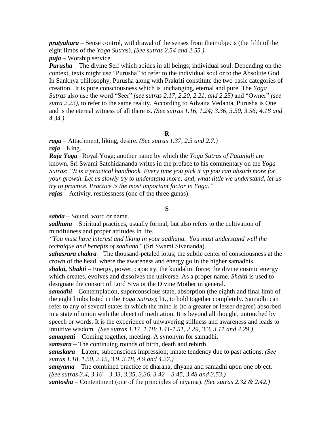*pratyahara* – Sense control, withdrawal of the senses from their objects (the fifth of the eight limbs of the *Yoga Sutras*). *(See sutras 2.54 and 2.55.) puja* – Worship service.

*Purusha* – The divine Self which abides in all beings; individual soul. Depending on the context, texts might use "Purusha" to refer to the individual soul or to the Absolute God. In Sankhya philosophy, Purusha along with Prakriti constitute the two basic categories of creation. It is pure consciousness which is unchanging, eternal and pure. The *Yoga Sutras* also use the word "Seer" *(see sutras 2.17, 2.20, 2.21, and 2.25)* and "Owner" *(see sutra 2.23),* to refer to the same reality. According to Advaita Vedanta, Purusha is One and is the eternal witness of all there is*. (See sutras 1.16, 1.24; 3.36, 3.50, 3.56; 4.18 and 4.34.)*

#### **R**

*raga* – Attachment, liking, desire. *(See sutras 1.37, 2.3 and 2.7.) raja* – King.

*Raja Yoga* –Royal Yoga; another name by which the *Yoga Sutras of Patanjali* are known. Sri Swami Satchidananda writes in the preface to his commentary on the *Yoga Sutras*: *"It is a practical handbook. Every time you pick it up you can absorb more for your growth. Let us slowly try to understand more; and, what little we understand, let us try to practice. Practice is the most important factor in Yoga."*

*rajas* – Activity, restlessness (one of the three gunas).

# **S**

*sabda* – Sound, word or name.

*sadhana* – Spiritual practices, usually formal, but also refers to the cultivation of mindfulness and proper attitudes in life.

*"You must have interest and liking in your sadhana. You must understand well the technique and benefits of sadhana"* (Sri Swami Sivananda).

*sahasrara chakra* – The thousand-petaled lotus; the subtle center of consciousness at the crown of the head, where the awareness and energy go in the higher samadhis.

*shakti, Shakti* – Energy, power, capacity, the kundalini force; the divine cosmic energy which creates, evolves and dissolves the universe. As a proper name, *Shakti* is used to designate the consort of Lord Siva or the Divine Mother in general.

*samadhi* – Contemplation, superconscious state, absorption (the eighth and final limb of the eight limbs listed in the *Yoga Sutras*); lit., to hold together completely. Samadhi can refer to any of several states in which the mind is (to a greater or lesser degree) absorbed in a state of union with the object of meditation. It is beyond all thought, untouched by speech or words. It is the experience of unwavering stillness and awareness and leads to intuitive wisdom*. (See sutras 1.17, 1.18; 1.41-1.51, 2.29, 3.3, 3.11 and 4.29.)*

*samapatti* – Coming together, meeting. A synonym for samadhi.

*samsara* – The continuing rounds of birth, death and rebirth.

*samskara* – Latent, subconscious impression; innate tendency due to past actions. *(See sutras 1.18, 1.50, 2.15, 3.9, 3.18, 4.9 and 4.27.)*

*samyama* – The combined practice of dharana, dhyana and samadhi upon one object. *(See sutras 3.4, 3.16 – 3.33, 3.35, 3.36, 3.42 – 3.45, 3.48 and 3.53.)*

*santosha* – Contentment (one of the principles of niyama). *(See sutras 2.32 & 2.42.)*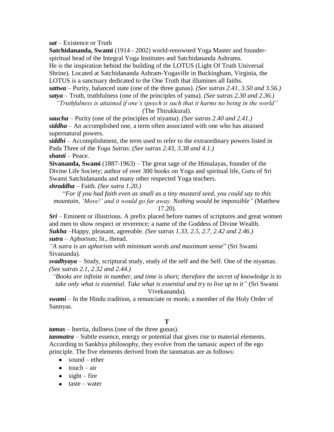*sat* – Existence or Truth

**Satchidananda, Swami** (1914 - 2002) world-renowned Yoga Master and founderspiritual head of the Integral Yoga Institutes and Satchidananda Ashrams.

He is the inspiration behind the building of the LOTUS (Light Of Truth Universal

Shrine). Located at Satchidananda Ashram-Yogaville in Buckingham, Virginia, the LOTUS is a sanctuary dedicated to the One Truth that illumines all faiths.

*sattwa* – Purity, balanced state (one of the three gunas). *(See sutras 2.41, 3.50 and 3.56.) satya* – Truth, truthfulness (one of the principles of yama). *(See sutras 2.30 and 2.36.)*

*"Truthfulness is attained if one"s speech is such that it harms no being in the world"* (The Thirukkural).

*saucha* – Purity (one of the principles of niyama). *(See sutras 2.40 and 2.41.) siddha* – An accomplished one, a term often associated with one who has attained supernatural powers.

*siddhi* – Accomplishment, the term used to refer to the extraordinary powers listed in Pada Three of the *Yoga Sutras*. *(See sutras 2.43, 3.38 and 4.1.) shanti* – Peace.

**Sivananda, Swami** (1887-1963) – The great sage of the Himalayas, founder of the Divine Life Society; author of over 300 books on Yoga and spiritual life, Guru of Sri Swami Satchidananda and many other respected Yoga teachers. *shraddha* – Faith. *(See sutra 1.20.)*

"*For if you had faith even as small as a tiny mustard seed, you could say to this mountain, "Move!" and it would go far away. Nothing would be impossible"* (Matthew 17.20).

*Sri* – Eminent or illustrious. A prefix placed before names of scriptures and great women and men to show respect or reverence; a name of the Goddess of Divine Wealth. *Sukha* –Happy, pleasant, agreeable. *(See sutras 1.33, 2.5, 2.7, 2.42 and 2.46.) sutra* – Aphorism; lit., thread.

*"A sutra is an aphorism with minimum words and maximum sense*" (Sri Swami Sivananda).

*svadhyaya* – Study, scriptural study, study of the self and the Self. One of the niyamas. *(See sutras 2.1, 2.32 and 2.44.)*

*"Books are infinite in number, and time is short; therefore the secret of knowledge is to take only what is essential. Take what is essential and try to live up to it"* (Sri Swami Vivekananda).

*swami* – In the Hindu tradition, a renunciate or monk; a member of the Holy Order of Sannyas.

# **T**

*tamas* – Inertia, dullness (one of the three gunas).

*tanmatra* – Subtle essence, energy or potential that gives rise to material elements. According to Sankhya philosophy, they evolve from the tamasic aspect of the ego principle. The five elements derived from the tanmatras are as follows:

- $\bullet$  sound ether
- $\bullet$  touch air
- $\bullet$  sight fire
- $\bullet$  taste water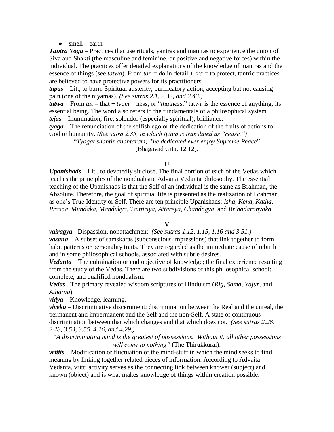$\bullet$  smell – earth

*Tantra Yoga* – Practices that use rituals, yantras and mantras to experience the union of Siva and Shakti (the masculine and feminine, or positive and negative forces) within the individual. The practices offer detailed explanations of the knowledge of mantras and the essence of things (see *tatwa*). From *tan* = do in detail + *tra* = to protect, tantric practices are believed to have protective powers for its practitioners.

*tapas* – Lit., to burn. Spiritual austerity; purificatory action, accepting but not causing pain (one of the niyamas). *(See sutras 2.1, 2.32, and 2.43.)*

*tatwa* – From *tat* = that + *tvam* = ness, or "*thatness*," tatwa is the essence of anything; its essential being. The word also refers to the fundamentals of a philosophical system. *tejas* – Illumination, fire, splendor (especially spiritual), brilliance.

*tyaga* – The renunciation of the selfish ego or the dedication of the fruits of actions to God or humanity. *(See sutra 2.35, in which tyaga is translated as "cease.")*

"*Tyagat shantir anantaram; The dedicated ever enjoy Supreme Peace*"

(Bhagavad Gita, 12.12).

#### **U**

*Upanishads* – Lit., to devotedly sit close. The final portion of each of the Vedas which teaches the principles of the nondualistic Advaita Vedanta philosophy. The essential teaching of the Upanishads is that the Self of an individual is the same as Brahman, the Absolute. Therefore, the goal of spiritual life is presented as the realization of Brahman as one's True Identity or Self. There are ten principle Upanishads: *Isha, Kena, Katha, Prasna, Mundaka, Mandukya, Taittiriya, Aitareya, Chandogya,* and *Brihadaranyaka*.

#### **V**

*vairagya* - Dispassion, nonattachment. *(See sutras 1.12, 1.15, 1.16 and 3.51.) vasana* – A subset of samskaras (subconscious impressions) that link together to form habit patterns or personality traits. They are regarded as the immediate cause of rebirth and in some philosophical schools, associated with subtle desires.

*Vedanta* – The culmination or end objective of knowledge; the final experience resulting from the study of the Vedas. There are two subdivisions of this philosophical school: complete, and qualified nondualism.

*Vedas* –The primary revealed wisdom scriptures of Hinduism (*Rig, Sama, Yajur,* and *Atharva*).

*vidya* – Knowledge, learning.

*viveka* – Discriminative discernment; discrimination between the Real and the unreal, the permanent and impermanent and the Self and the non-Self. A state of continuous discrimination between that which changes and that which does not. *(See sutras 2.26,* 

*2.28, 3.53, 3.55, 4.26, and 4.29.)*

*"A discriminating mind is the greatest of possessions. Without it, all other possessions will come to nothing"* (The Thirukkural).

*vrittis* – Modification or fluctuation of the mind-stuff in which the mind seeks to find meaning by linking together related pieces of information. According to Advaita Vedanta, vritti activity serves as the connecting link between knower (subject) and known (object) and is what makes knowledge of things within creation possible.